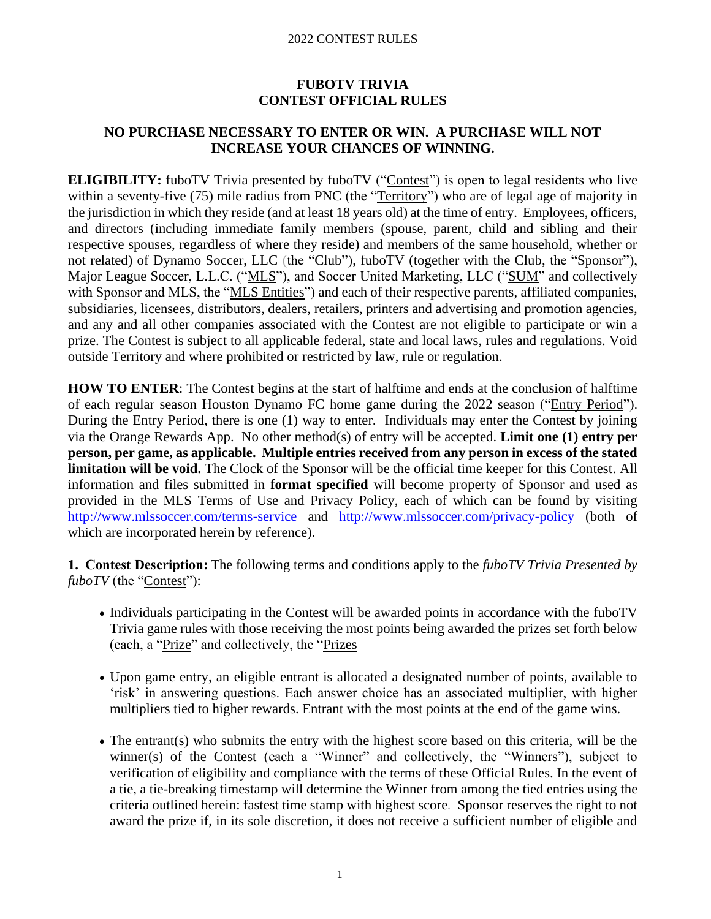# **FUBOTV TRIVIA CONTEST OFFICIAL RULES**

### **NO PURCHASE NECESSARY TO ENTER OR WIN. A PURCHASE WILL NOT INCREASE YOUR CHANCES OF WINNING.**

**ELIGIBILITY:** fuboTV Trivia presented by fuboTV ("Contest") is open to legal residents who live within a seventy-five (75) mile radius from PNC (the "Territory") who are of legal age of majority in the jurisdiction in which they reside (and at least 18 years old) at the time of entry. Employees, officers, and directors (including immediate family members (spouse, parent, child and sibling and their respective spouses, regardless of where they reside) and members of the same household, whether or not related) of Dynamo Soccer, LLC (the "Club"), fuboTV (together with the Club, the "Sponsor"), Major League Soccer, L.L.C. ("MLS"), and Soccer United Marketing, LLC ("SUM" and collectively with Sponsor and MLS, the "MLS Entities") and each of their respective parents, affiliated companies, subsidiaries, licensees, distributors, dealers, retailers, printers and advertising and promotion agencies, and any and all other companies associated with the Contest are not eligible to participate or win a prize. The Contest is subject to all applicable federal, state and local laws, rules and regulations. Void outside Territory and where prohibited or restricted by law, rule or regulation.

**HOW TO ENTER**: The Contest begins at the start of halftime and ends at the conclusion of halftime of each regular season Houston Dynamo FC home game during the 2022 season ("Entry Period"). During the Entry Period, there is one (1) way to enter. Individuals may enter the Contest by joining via the Orange Rewards App. No other method(s) of entry will be accepted. **Limit one (1) entry per person, per game, as applicable. Multiple entries received from any person in excess of the stated limitation will be void.** The Clock of the Sponsor will be the official time keeper for this Contest. All information and files submitted in **format specified** will become property of Sponsor and used as provided in the MLS Terms of Use and Privacy Policy, each of which can be found by visiting <http://www.mlssoccer.com/terms-service> and <http://www.mlssoccer.com/privacy-policy> (both of which are incorporated herein by reference).

**1. Contest Description:**The following terms and conditions apply to the *fuboTV Trivia Presented by fuboTV* (the "Contest"):

- Individuals participating in the Contest will be awarded points in accordance with the fuboTV Trivia game rules with those receiving the most points being awarded the prizes set forth below (each, a "Prize" and collectively, the "Prizes
- Upon game entry, an eligible entrant is allocated a designated number of points, available to 'risk' in answering questions. Each answer choice has an associated multiplier, with higher multipliers tied to higher rewards. Entrant with the most points at the end of the game wins.
- The entrant(s) who submits the entry with the highest score based on this criteria, will be the winner(s) of the Contest (each a "Winner" and collectively, the "Winners"), subject to verification of eligibility and compliance with the terms of these Official Rules. In the event of a tie, a tie-breaking timestamp will determine the Winner from among the tied entries using the criteria outlined herein: fastest time stamp with highest score*.* Sponsor reserves the right to not award the prize if, in its sole discretion, it does not receive a sufficient number of eligible and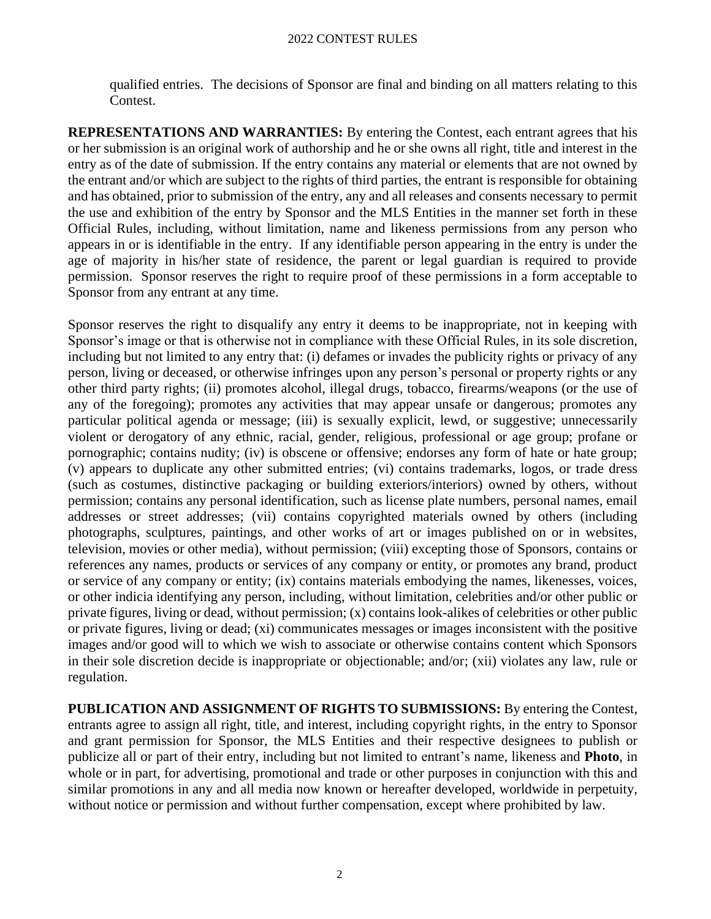qualified entries. The decisions of Sponsor are final and binding on all matters relating to this Contest.

**REPRESENTATIONS AND WARRANTIES:** By entering the Contest, each entrant agrees that his or her submission is an original work of authorship and he or she owns all right, title and interest in the entry as of the date of submission. If the entry contains any material or elements that are not owned by the entrant and/or which are subject to the rights of third parties, the entrant is responsible for obtaining and has obtained, prior to submission of the entry, any and all releases and consents necessary to permit the use and exhibition of the entry by Sponsor and the MLS Entities in the manner set forth in these Official Rules, including, without limitation, name and likeness permissions from any person who appears in or is identifiable in the entry. If any identifiable person appearing in the entry is under the age of majority in his/her state of residence, the parent or legal guardian is required to provide permission. Sponsor reserves the right to require proof of these permissions in a form acceptable to Sponsor from any entrant at any time.

Sponsor reserves the right to disqualify any entry it deems to be inappropriate, not in keeping with Sponsor's image or that is otherwise not in compliance with these Official Rules, in its sole discretion, including but not limited to any entry that: (i) defames or invades the publicity rights or privacy of any person, living or deceased, or otherwise infringes upon any person's personal or property rights or any other third party rights; (ii) promotes alcohol, illegal drugs, tobacco, firearms/weapons (or the use of any of the foregoing); promotes any activities that may appear unsafe or dangerous; promotes any particular political agenda or message; (iii) is sexually explicit, lewd, or suggestive; unnecessarily violent or derogatory of any ethnic, racial, gender, religious, professional or age group; profane or pornographic; contains nudity; (iv) is obscene or offensive; endorses any form of hate or hate group; (v) appears to duplicate any other submitted entries; (vi) contains trademarks, logos, or trade dress (such as costumes, distinctive packaging or building exteriors/interiors) owned by others, without permission; contains any personal identification, such as license plate numbers, personal names, email addresses or street addresses; (vii) contains copyrighted materials owned by others (including photographs, sculptures, paintings, and other works of art or images published on or in websites, television, movies or other media), without permission; (viii) excepting those of Sponsors, contains or references any names, products or services of any company or entity, or promotes any brand, product or service of any company or entity; (ix) contains materials embodying the names, likenesses, voices, or other indicia identifying any person, including, without limitation, celebrities and/or other public or private figures, living or dead, without permission; (x) contains look-alikes of celebrities or other public or private figures, living or dead; (xi) communicates messages or images inconsistent with the positive images and/or good will to which we wish to associate or otherwise contains content which Sponsors in their sole discretion decide is inappropriate or objectionable; and/or; (xii) violates any law, rule or regulation.

**PUBLICATION AND ASSIGNMENT OF RIGHTS TO SUBMISSIONS:** By entering the Contest, entrants agree to assign all right, title, and interest, including copyright rights, in the entry to Sponsor and grant permission for Sponsor, the MLS Entities and their respective designees to publish or publicize all or part of their entry, including but not limited to entrant's name, likeness and **Photo**, in whole or in part, for advertising, promotional and trade or other purposes in conjunction with this and similar promotions in any and all media now known or hereafter developed, worldwide in perpetuity, without notice or permission and without further compensation, except where prohibited by law.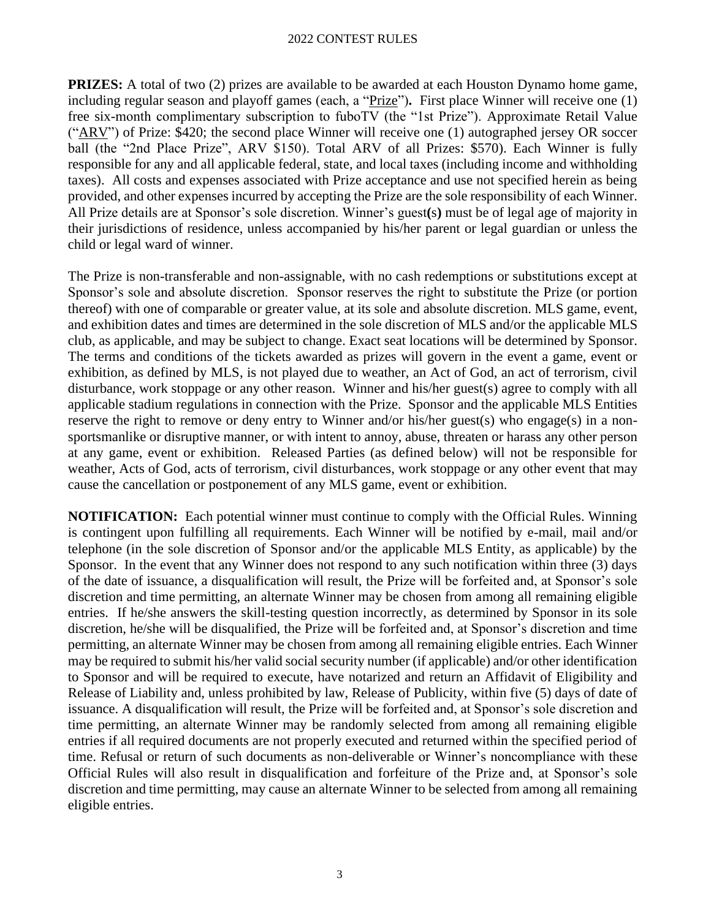**PRIZES:** A total of two (2) prizes are available to be awarded at each Houston Dynamo home game, including regular season and playoff games (each, a "Prize")**.** First place Winner will receive one (1) free six-month complimentary subscription to fuboTV (the "1st Prize"). Approximate Retail Value ("ARV") of Prize: \$420; the second place Winner will receive one (1) autographed jersey OR soccer ball (the "2nd Place Prize", ARV \$150). Total ARV of all Prizes: \$570). Each Winner is fully responsible for any and all applicable federal, state, and local taxes (including income and withholding taxes). All costs and expenses associated with Prize acceptance and use not specified herein as being provided, and other expenses incurred by accepting the Prize are the sole responsibility of each Winner. All Prize details are at Sponsor's sole discretion. Winner's guest**(**s**)** must be of legal age of majority in their jurisdictions of residence, unless accompanied by his/her parent or legal guardian or unless the child or legal ward of winner.

The Prize is non-transferable and non-assignable, with no cash redemptions or substitutions except at Sponsor's sole and absolute discretion. Sponsor reserves the right to substitute the Prize (or portion thereof) with one of comparable or greater value, at its sole and absolute discretion. MLS game, event, and exhibition dates and times are determined in the sole discretion of MLS and/or the applicable MLS club, as applicable, and may be subject to change. Exact seat locations will be determined by Sponsor. The terms and conditions of the tickets awarded as prizes will govern in the event a game, event or exhibition, as defined by MLS, is not played due to weather, an Act of God, an act of terrorism, civil disturbance, work stoppage or any other reason. Winner and his/her guest(s) agree to comply with all applicable stadium regulations in connection with the Prize. Sponsor and the applicable MLS Entities reserve the right to remove or deny entry to Winner and/or his/her guest(s) who engage(s) in a nonsportsmanlike or disruptive manner, or with intent to annoy, abuse, threaten or harass any other person at any game, event or exhibition. Released Parties (as defined below) will not be responsible for weather, Acts of God, acts of terrorism, civil disturbances, work stoppage or any other event that may cause the cancellation or postponement of any MLS game, event or exhibition.

**NOTIFICATION:** Each potential winner must continue to comply with the Official Rules. Winning is contingent upon fulfilling all requirements. Each Winner will be notified by e-mail, mail and/or telephone (in the sole discretion of Sponsor and/or the applicable MLS Entity, as applicable) by the Sponsor. In the event that any Winner does not respond to any such notification within three (3) days of the date of issuance, a disqualification will result, the Prize will be forfeited and, at Sponsor's sole discretion and time permitting, an alternate Winner may be chosen from among all remaining eligible entries. If he/she answers the skill-testing question incorrectly, as determined by Sponsor in its sole discretion, he/she will be disqualified, the Prize will be forfeited and, at Sponsor's discretion and time permitting, an alternate Winner may be chosen from among all remaining eligible entries. Each Winner may be required to submit his/her valid social security number (if applicable) and/or other identification to Sponsor and will be required to execute, have notarized and return an Affidavit of Eligibility and Release of Liability and, unless prohibited by law, Release of Publicity, within five (5) days of date of issuance. A disqualification will result, the Prize will be forfeited and, at Sponsor's sole discretion and time permitting, an alternate Winner may be randomly selected from among all remaining eligible entries if all required documents are not properly executed and returned within the specified period of time. Refusal or return of such documents as non-deliverable or Winner's noncompliance with these Official Rules will also result in disqualification and forfeiture of the Prize and, at Sponsor's sole discretion and time permitting, may cause an alternate Winner to be selected from among all remaining eligible entries.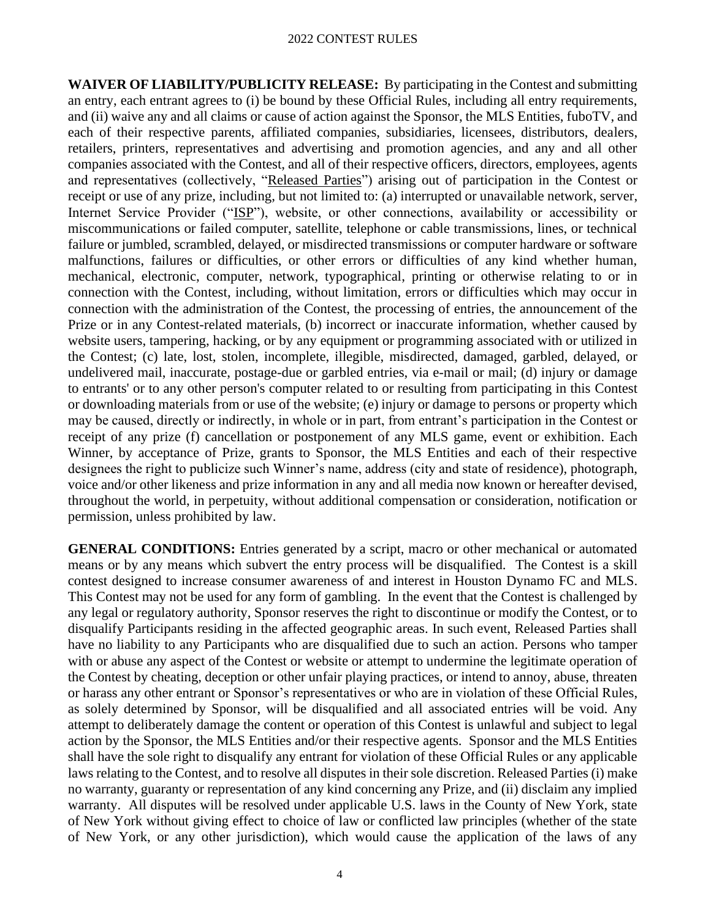**WAIVER OF LIABILITY/PUBLICITY RELEASE:** By participating in the Contest and submitting an entry, each entrant agrees to (i) be bound by these Official Rules, including all entry requirements, and (ii) waive any and all claims or cause of action against the Sponsor, the MLS Entities, fuboTV, and each of their respective parents, affiliated companies, subsidiaries, licensees, distributors, dealers, retailers, printers, representatives and advertising and promotion agencies, and any and all other companies associated with the Contest, and all of their respective officers, directors, employees, agents and representatives (collectively, "Released Parties") arising out of participation in the Contest or receipt or use of any prize, including, but not limited to: (a) interrupted or unavailable network, server, Internet Service Provider ("ISP"), website, or other connections, availability or accessibility or miscommunications or failed computer, satellite, telephone or cable transmissions, lines, or technical failure or jumbled, scrambled, delayed, or misdirected transmissions or computer hardware or software malfunctions, failures or difficulties, or other errors or difficulties of any kind whether human, mechanical, electronic, computer, network, typographical, printing or otherwise relating to or in connection with the Contest, including, without limitation, errors or difficulties which may occur in connection with the administration of the Contest, the processing of entries, the announcement of the Prize or in any Contest-related materials, (b) incorrect or inaccurate information, whether caused by website users, tampering, hacking, or by any equipment or programming associated with or utilized in the Contest; (c) late, lost, stolen, incomplete, illegible, misdirected, damaged, garbled, delayed, or undelivered mail, inaccurate, postage-due or garbled entries, via e-mail or mail; (d) injury or damage to entrants' or to any other person's computer related to or resulting from participating in this Contest or downloading materials from or use of the website; (e) injury or damage to persons or property which may be caused, directly or indirectly, in whole or in part, from entrant's participation in the Contest or receipt of any prize (f) cancellation or postponement of any MLS game, event or exhibition. Each Winner, by acceptance of Prize, grants to Sponsor, the MLS Entities and each of their respective designees the right to publicize such Winner's name, address (city and state of residence), photograph, voice and/or other likeness and prize information in any and all media now known or hereafter devised, throughout the world, in perpetuity, without additional compensation or consideration, notification or permission, unless prohibited by law.

**GENERAL CONDITIONS:** Entries generated by a script, macro or other mechanical or automated means or by any means which subvert the entry process will be disqualified. The Contest is a skill contest designed to increase consumer awareness of and interest in Houston Dynamo FC and MLS. This Contest may not be used for any form of gambling. In the event that the Contest is challenged by any legal or regulatory authority, Sponsor reserves the right to discontinue or modify the Contest, or to disqualify Participants residing in the affected geographic areas. In such event, Released Parties shall have no liability to any Participants who are disqualified due to such an action. Persons who tamper with or abuse any aspect of the Contest or website or attempt to undermine the legitimate operation of the Contest by cheating, deception or other unfair playing practices, or intend to annoy, abuse, threaten or harass any other entrant or Sponsor's representatives or who are in violation of these Official Rules, as solely determined by Sponsor, will be disqualified and all associated entries will be void. Any attempt to deliberately damage the content or operation of this Contest is unlawful and subject to legal action by the Sponsor, the MLS Entities and/or their respective agents. Sponsor and the MLS Entities shall have the sole right to disqualify any entrant for violation of these Official Rules or any applicable laws relating to the Contest, and to resolve all disputes in their sole discretion. Released Parties (i) make no warranty, guaranty or representation of any kind concerning any Prize, and (ii) disclaim any implied warranty. All disputes will be resolved under applicable U.S. laws in the County of New York, state of New York without giving effect to choice of law or conflicted law principles (whether of the state of New York, or any other jurisdiction), which would cause the application of the laws of any